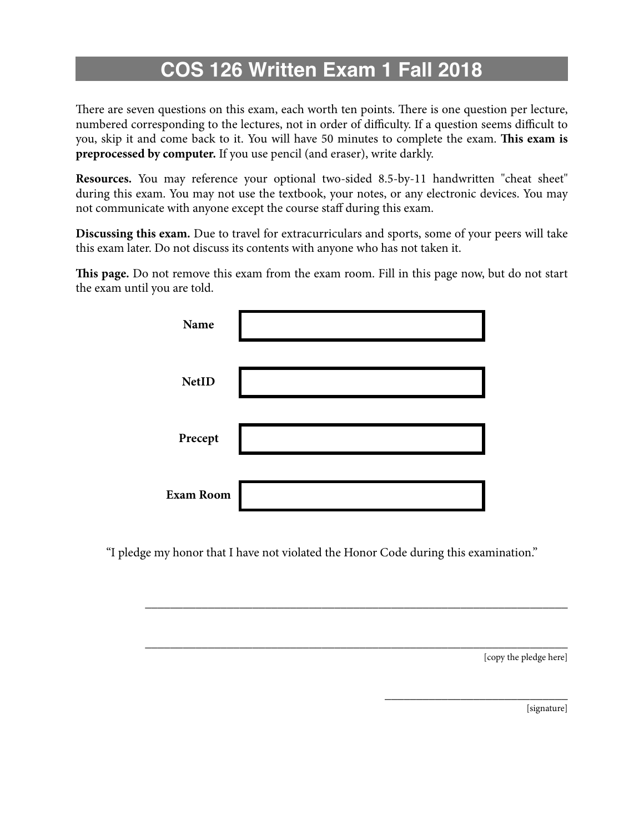## **COS 126 Written Exam 1 Fall 2018**

There are seven questions on this exam, each worth ten points. There is one question per lecture, numbered corresponding to the lectures, not in order of difficulty. If a question seems difficult to you, skip it and come back to it. You will have 50 minutes to complete the exam. **Tis exam is preprocessed by computer.** If you use pencil (and eraser), write darkly.

**Resources.** You may reference your optional two-sided 8.5-by-11 handwritten "cheat sheet" during this exam. You may not use the textbook, your notes, or any electronic devices. You may not communicate with anyone except the course staf during this exam.

**Discussing this exam.** Due to travel for extracurriculars and sports, some of your peers will take this exam later. Do not discuss its contents with anyone who has not taken it.

**Tis page.** Do not remove this exam from the exam room. Fill in this page now, but do not start the exam until you are told.

| Name             |  |
|------------------|--|
| <b>NetID</b>     |  |
| Precept          |  |
| <b>Exam Room</b> |  |

"I pledge my honor that I have not violated the Honor Code during this examination."

\_\_\_\_\_\_\_\_\_\_\_\_\_\_\_\_\_\_\_\_\_\_\_\_\_\_\_\_\_\_\_\_\_\_\_\_\_\_\_\_\_\_\_\_\_\_\_\_\_\_\_\_\_\_\_\_\_\_\_\_\_\_\_\_\_\_\_

\_\_\_\_\_\_\_\_\_\_\_\_\_\_\_\_\_\_\_\_\_\_\_\_\_\_\_\_\_\_\_\_\_\_\_\_\_\_\_\_\_\_\_\_\_\_\_\_\_\_\_\_\_\_\_\_\_\_\_\_\_\_\_\_\_\_\_

[copy the pledge here]

\_\_\_\_\_\_\_\_\_\_\_\_\_\_\_\_\_\_\_\_\_\_\_\_\_\_\_\_\_

[signature]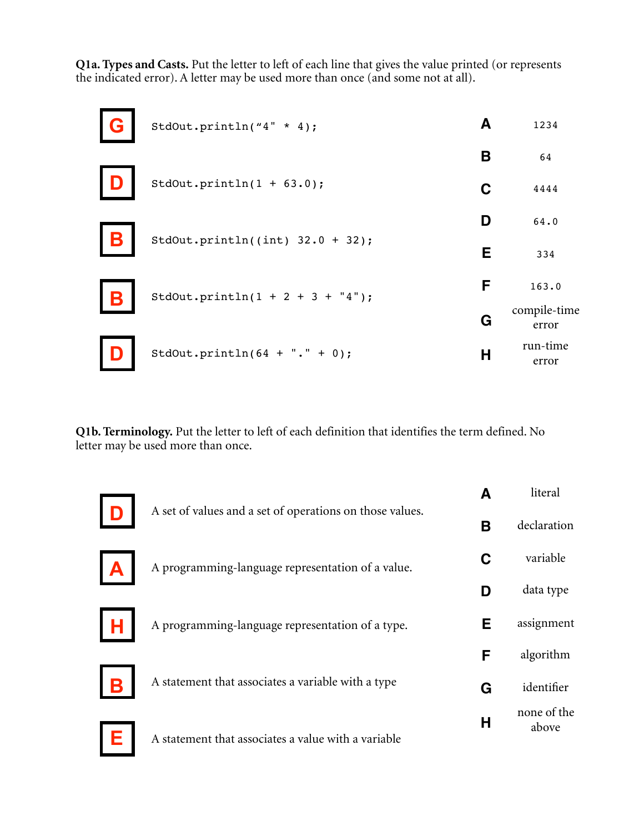Q1a. Types and Casts. Put the letter to left of each line that gives the value printed (or represents the indicated error). A letter may be used more than once (and some not at all).

| StdOut.println("4" * 4);            | A | 1234                  |
|-------------------------------------|---|-----------------------|
|                                     | В | 64                    |
| StdOut.println $(1 + 63.0)$ ;       | C | 4444                  |
| StdOut.println((int) $32.0 + 32$ ); | D | 64.0                  |
|                                     | Е | 334                   |
| StdOut.println(1 + 2 + 3 + $"4")$ ; | F | 163.0                 |
|                                     | G | compile-time<br>error |
| StdOut.println( $64 +$ "." + 0);    | Н | run-time<br>error     |

Q1b. Terminology. Put the letter to left of each definition that identifies the term defined. No letter may be used more than once.

|   |                                                          |   | literal              |
|---|----------------------------------------------------------|---|----------------------|
|   | A set of values and a set of operations on those values. | В | declaration          |
|   | A programming-language representation of a value.        | C | variable             |
|   |                                                          |   | data type            |
|   | A programming-language representation of a type.         | Е | assignment           |
|   |                                                          | F | algorithm            |
|   | A statement that associates a variable with a type       | G | identifier           |
| Е | A statement that associates a value with a variable      | н | none of the<br>above |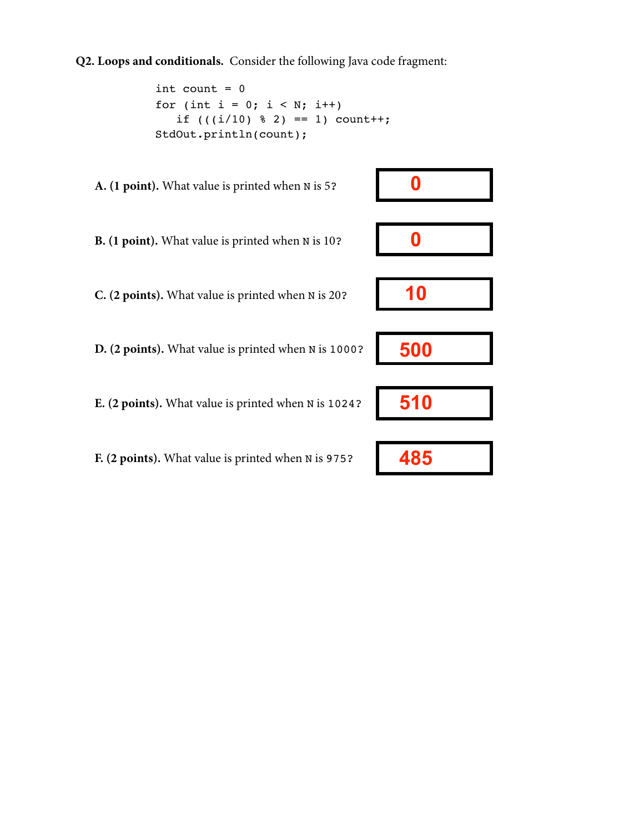**Q2. Loops and conditionals.** Consider the following Java code fragment:

```
int count = 0for (int i = 0; i < N; i^{++})
   if (((i/10) \; 8 \; 2) == 1) count++;
 StdOut.println(count);
```
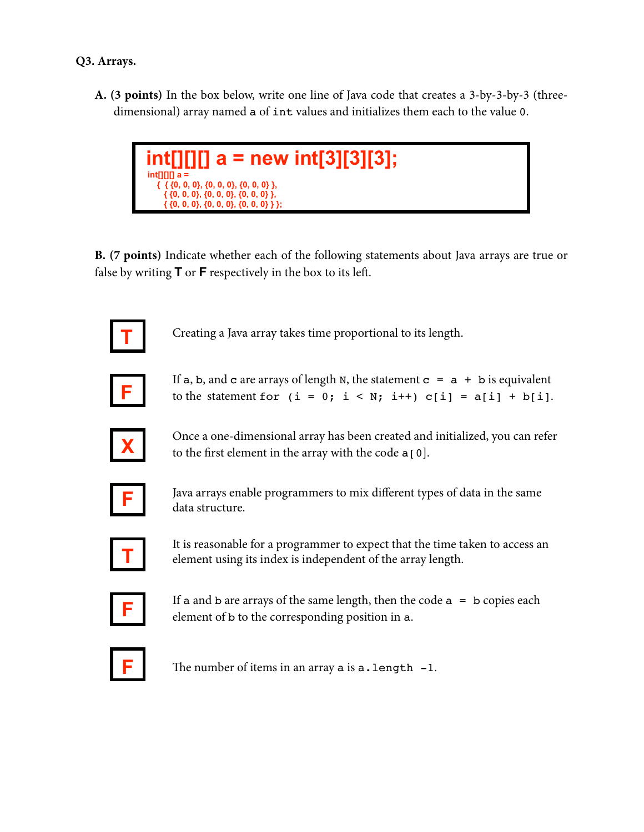**A. (3 points)** In the box below, write one line of Java code that creates a 3-by-3-by-3 (threedimensional) array named a of int values and initializes them each to the value 0.



**B. (7 points)** Indicate whether each of the following statements about Java arrays are true or false by writing **T** or **F** respectively in the box to its lef.



Creating a Java array takes time proportional to its length.



If a, b, and c are arrays of length N, the statement  $c = a + b$  is equivalent to the statement for  $(i = 0; i < N; i++)$  c[i] = a[i] + b[i].



Once a one-dimensional array has been created and initialized, you can refer to the first element in the array with the code  $a[0]$ .



Java arrays enable programmers to mix diferent types of data in the same data structure.



It is reasonable for a programmer to expect that the time taken to access an element using its index is independent of the array length.



If a and b are arrays of the same length, then the code  $a = b$  copies each element of b to the corresponding position in a.



The number of items in an array a is  $a$ . length  $-1$ .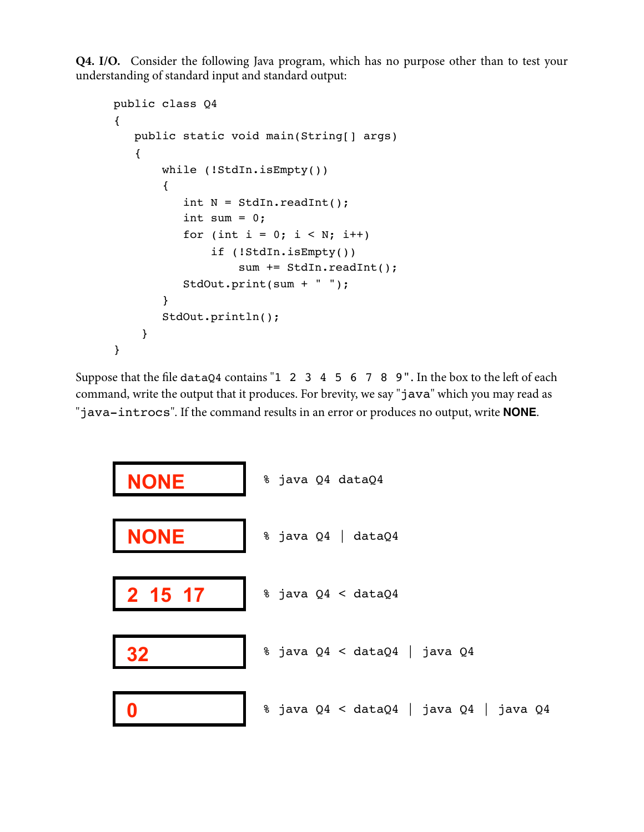**Q4. I/O.** Consider the following Java program, which has no purpose other than to test your understanding of standard input and standard output:

```
public class Q4
{
    public static void main(String[] args)
    {
        while (!StdIn.isEmpty())
         {
           int N = \text{StdIn}.\text{readInt}();
           int sum = 0;
           for (int i = 0; i < N; i++)
                if (!StdIn.isEmpty())
                    sum += StdIn.readInt();
            StdOut.print(sum + " ");
         }
        StdOut.println();
     }
}
```
Suppose that the file dataQ4 contains "1 2 3 4 5 6 7 8 9". In the box to the left of each command, write the output that it produces. For brevity, we say "java" which you may read as "java-introcs". If the command results in an error or produces no output, write **NONE**.

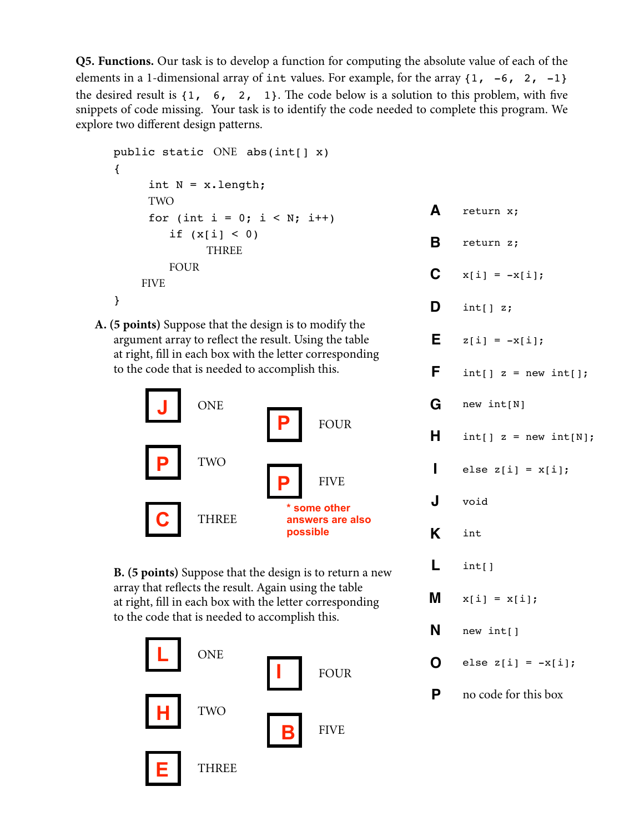**Q5. Functions.** Our task is to develop a function for computing the absolute value of each of the elements in a 1-dimensional array of int values. For example, for the array  $\{1, -6, 2, -1\}$ the desired result is  $\{1, 6, 2, 1\}$ . The code below is a solution to this problem, with five snippets of code missing. Your task is to identify the code needed to complete this program. We explore two different design patterns.

```
public static ONE abs(int[] x)
\{int N = x.length;TWO
     for (int i = 0; i < N; i++)
         if (x[i] < 0)THREE
         FOUR
    FIVE
\mathcal{E}
```
A. (5 points) Suppose that the design is to modify the argument array to reflect the result. Using the table at right, fill in each box with the letter corresponding to the code that is needed to accomplish this.



**B.** (5 points) Suppose that the design is to return a new array that reflects the result. Again using the table at right, fill in each box with the letter corresponding to the code that is needed to accomplish this.



| Α            | return x;               |
|--------------|-------------------------|
| В            | return z;               |
| $\mathbf C$  | $x[i] = -x[i];$         |
| D            | int[] z;                |
| Е            | $z[i] = -x[i];$         |
| F.           | $int[] z = new int[];$  |
|              | $G$ new int[N]          |
| H            | $int[] z = new int[N];$ |
| $\mathbf{I}$ | else z[i] = $x[i]$ ;    |
| J            | void                    |
|              | K int                   |
| L            | int[]                   |
|              | <b>M</b> $x[i] = x[i];$ |
| N            | new int[]               |
| O.           | else z[i] = $-x[i]$ ;   |
| Ρ            | no code for this box    |
|              |                         |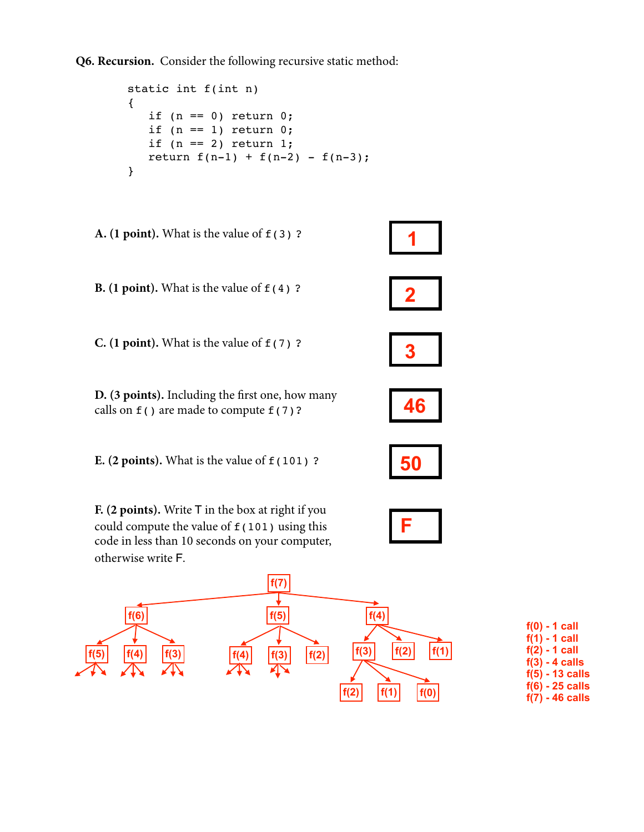**Q6. Recursion.** Consider the following recursive static method:

```
 static int f(int n)
 {
   if (n == 0) return 0;if (n == 1) return 0;
   if (n == 2) return 1;
   return f(n-1) + f(n-2) - f(n-3);
 }
```


| f(0) - 1 call     |
|-------------------|
| $f(1)$ - 1 call   |
| $f(2) - 1$ call   |
| $f(3) - 4$ calls  |
| $f(5) - 13$ calls |
| $f(6) - 25$ calls |
| $f(7) - 46$ calls |